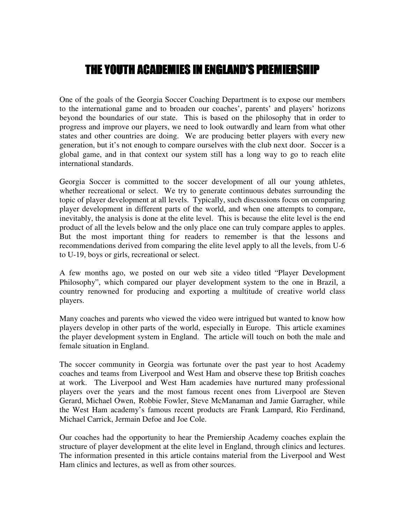# THE YOUTH ACADEMIES IN ENGLAND'S PREMIERSHIP

One of the goals of the Georgia Soccer Coaching Department is to expose our members to the international game and to broaden our coaches', parents' and players' horizons beyond the boundaries of our state. This is based on the philosophy that in order to progress and improve our players, we need to look outwardly and learn from what other states and other countries are doing. We are producing better players with every new generation, but it's not enough to compare ourselves with the club next door. Soccer is a global game, and in that context our system still has a long way to go to reach elite international standards.

Georgia Soccer is committed to the soccer development of all our young athletes, whether recreational or select. We try to generate continuous debates surrounding the topic of player development at all levels. Typically, such discussions focus on comparing player development in different parts of the world, and when one attempts to compare, inevitably, the analysis is done at the elite level. This is because the elite level is the end product of all the levels below and the only place one can truly compare apples to apples. But the most important thing for readers to remember is that the lessons and recommendations derived from comparing the elite level apply to all the levels, from U-6 to U-19, boys or girls, recreational or select.

A few months ago, we posted on our web site a video titled "Player Development Philosophy", which compared our player development system to the one in Brazil, a country renowned for producing and exporting a multitude of creative world class players.

Many coaches and parents who viewed the video were intrigued but wanted to know how players develop in other parts of the world, especially in Europe. This article examines the player development system in England. The article will touch on both the male and female situation in England.

The soccer community in Georgia was fortunate over the past year to host Academy coaches and teams from Liverpool and West Ham and observe these top British coaches at work. The Liverpool and West Ham academies have nurtured many professional players over the years and the most famous recent ones from Liverpool are Steven Gerard, Michael Owen, Robbie Fowler, Steve McManaman and Jamie Garragher, while the West Ham academy's famous recent products are Frank Lampard, Rio Ferdinand, Michael Carrick, Jermain Defoe and Joe Cole.

Our coaches had the opportunity to hear the Premiership Academy coaches explain the structure of player development at the elite level in England, through clinics and lectures. The information presented in this article contains material from the Liverpool and West Ham clinics and lectures, as well as from other sources.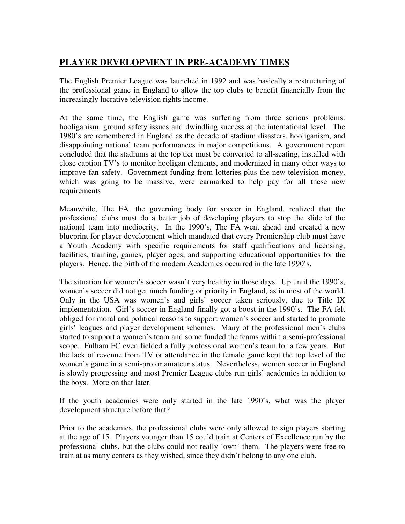# **PLAYER DEVELOPMENT IN PRE-ACADEMY TIMES**

The English Premier League was launched in 1992 and was basically a restructuring of the professional game in England to allow the top clubs to benefit financially from the increasingly lucrative television rights income.

At the same time, the English game was suffering from three serious problems: hooliganism, ground safety issues and dwindling success at the international level. The 1980's are remembered in England as the decade of stadium disasters, hooliganism, and disappointing national team performances in major competitions. A government report concluded that the stadiums at the top tier must be converted to all-seating, installed with close caption TV's to monitor hooligan elements, and modernized in many other ways to improve fan safety. Government funding from lotteries plus the new television money, which was going to be massive, were earmarked to help pay for all these new requirements

Meanwhile, The FA, the governing body for soccer in England, realized that the professional clubs must do a better job of developing players to stop the slide of the national team into mediocrity. In the 1990's, The FA went ahead and created a new blueprint for player development which mandated that every Premiership club must have a Youth Academy with specific requirements for staff qualifications and licensing, facilities, training, games, player ages, and supporting educational opportunities for the players. Hence, the birth of the modern Academies occurred in the late 1990's.

The situation for women's soccer wasn't very healthy in those days. Up until the 1990's, women's soccer did not get much funding or priority in England, as in most of the world. Only in the USA was women's and girls' soccer taken seriously, due to Title IX implementation. Girl's soccer in England finally got a boost in the 1990's. The FA felt obliged for moral and political reasons to support women's soccer and started to promote girls' leagues and player development schemes. Many of the professional men's clubs started to support a women's team and some funded the teams within a semi-professional scope. Fulham FC even fielded a fully professional women's team for a few years. But the lack of revenue from TV or attendance in the female game kept the top level of the women's game in a semi-pro or amateur status. Nevertheless, women soccer in England is slowly progressing and most Premier League clubs run girls' academies in addition to the boys. More on that later.

If the youth academies were only started in the late 1990's, what was the player development structure before that?

Prior to the academies, the professional clubs were only allowed to sign players starting at the age of 15. Players younger than 15 could train at Centers of Excellence run by the professional clubs, but the clubs could not really 'own' them. The players were free to train at as many centers as they wished, since they didn't belong to any one club.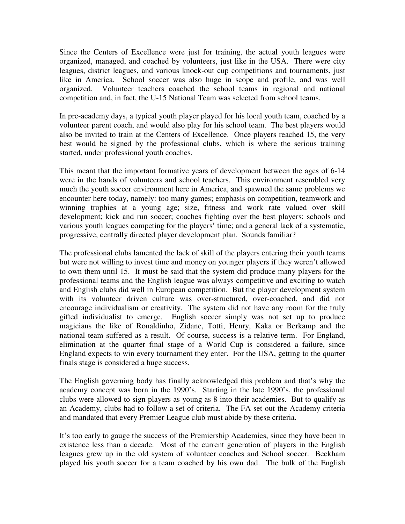Since the Centers of Excellence were just for training, the actual youth leagues were organized, managed, and coached by volunteers, just like in the USA. There were city leagues, district leagues, and various knock-out cup competitions and tournaments, just like in America. School soccer was also huge in scope and profile, and was well organized. Volunteer teachers coached the school teams in regional and national competition and, in fact, the U-15 National Team was selected from school teams.

In pre-academy days, a typical youth player played for his local youth team, coached by a volunteer parent coach, and would also play for his school team. The best players would also be invited to train at the Centers of Excellence. Once players reached 15, the very best would be signed by the professional clubs, which is where the serious training started, under professional youth coaches.

This meant that the important formative years of development between the ages of 6-14 were in the hands of volunteers and school teachers. This environment resembled very much the youth soccer environment here in America, and spawned the same problems we encounter here today, namely: too many games; emphasis on competition, teamwork and winning trophies at a young age; size, fitness and work rate valued over skill development; kick and run soccer; coaches fighting over the best players; schools and various youth leagues competing for the players' time; and a general lack of a systematic, progressive, centrally directed player development plan. Sounds familiar?

The professional clubs lamented the lack of skill of the players entering their youth teams but were not willing to invest time and money on younger players if they weren't allowed to own them until 15. It must be said that the system did produce many players for the professional teams and the English league was always competitive and exciting to watch and English clubs did well in European competition. But the player development system with its volunteer driven culture was over-structured, over-coached, and did not encourage individualism or creativity. The system did not have any room for the truly gifted individualist to emerge. English soccer simply was not set up to produce magicians the like of Ronaldinho, Zidane, Totti, Henry, Kaka or Berkamp and the national team suffered as a result. Of course, success is a relative term. For England, elimination at the quarter final stage of a World Cup is considered a failure, since England expects to win every tournament they enter. For the USA, getting to the quarter finals stage is considered a huge success.

The English governing body has finally acknowledged this problem and that's why the academy concept was born in the 1990's. Starting in the late 1990's, the professional clubs were allowed to sign players as young as 8 into their academies. But to qualify as an Academy, clubs had to follow a set of criteria. The FA set out the Academy criteria and mandated that every Premier League club must abide by these criteria.

It's too early to gauge the success of the Premiership Academies, since they have been in existence less than a decade. Most of the current generation of players in the English leagues grew up in the old system of volunteer coaches and School soccer. Beckham played his youth soccer for a team coached by his own dad. The bulk of the English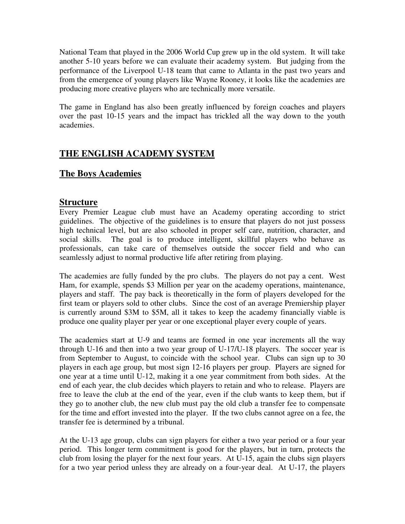National Team that played in the 2006 World Cup grew up in the old system. It will take another 5-10 years before we can evaluate their academy system. But judging from the performance of the Liverpool U-18 team that came to Atlanta in the past two years and from the emergence of young players like Wayne Rooney, it looks like the academies are producing more creative players who are technically more versatile.

The game in England has also been greatly influenced by foreign coaches and players over the past 10-15 years and the impact has trickled all the way down to the youth academies.

## **THE ENGLISH ACADEMY SYSTEM**

### **The Boys Academies**

#### **Structure**

Every Premier League club must have an Academy operating according to strict guidelines. The objective of the guidelines is to ensure that players do not just possess high technical level, but are also schooled in proper self care, nutrition, character, and social skills. The goal is to produce intelligent, skillful players who behave as professionals, can take care of themselves outside the soccer field and who can seamlessly adjust to normal productive life after retiring from playing.

The academies are fully funded by the pro clubs. The players do not pay a cent. West Ham, for example, spends \$3 Million per year on the academy operations, maintenance, players and staff. The pay back is theoretically in the form of players developed for the first team or players sold to other clubs. Since the cost of an average Premiership player is currently around \$3M to \$5M, all it takes to keep the academy financially viable is produce one quality player per year or one exceptional player every couple of years.

The academies start at U-9 and teams are formed in one year increments all the way through U-16 and then into a two year group of U-17/U-18 players. The soccer year is from September to August, to coincide with the school year. Clubs can sign up to 30 players in each age group, but most sign 12-16 players per group. Players are signed for one year at a time until U-12, making it a one year commitment from both sides. At the end of each year, the club decides which players to retain and who to release. Players are free to leave the club at the end of the year, even if the club wants to keep them, but if they go to another club, the new club must pay the old club a transfer fee to compensate for the time and effort invested into the player. If the two clubs cannot agree on a fee, the transfer fee is determined by a tribunal.

At the U-13 age group, clubs can sign players for either a two year period or a four year period. This longer term commitment is good for the players, but in turn, protects the club from losing the player for the next four years. At U-15, again the clubs sign players for a two year period unless they are already on a four-year deal. At U-17, the players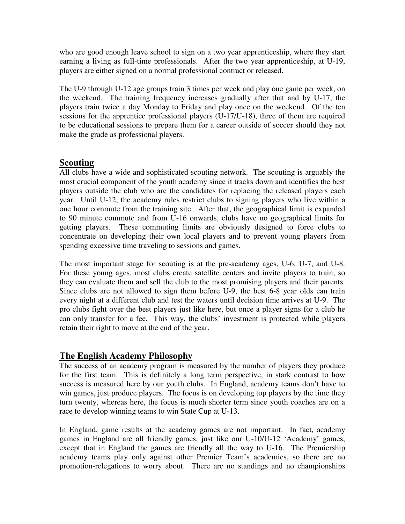who are good enough leave school to sign on a two year apprenticeship, where they start earning a living as full-time professionals. After the two year apprenticeship, at U-19, players are either signed on a normal professional contract or released.

The U-9 through U-12 age groups train 3 times per week and play one game per week, on the weekend. The training frequency increases gradually after that and by U-17, the players train twice a day Monday to Friday and play once on the weekend. Of the ten sessions for the apprentice professional players (U-17/U-18), three of them are required to be educational sessions to prepare them for a career outside of soccer should they not make the grade as professional players.

### **Scouting**

All clubs have a wide and sophisticated scouting network. The scouting is arguably the most crucial component of the youth academy since it tracks down and identifies the best players outside the club who are the candidates for replacing the released players each year. Until U-12, the academy rules restrict clubs to signing players who live within a one hour commute from the training site. After that, the geographical limit is expanded to 90 minute commute and from U-16 onwards, clubs have no geographical limits for getting players. These commuting limits are obviously designed to force clubs to concentrate on developing their own local players and to prevent young players from spending excessive time traveling to sessions and games.

The most important stage for scouting is at the pre-academy ages, U-6, U-7, and U-8. For these young ages, most clubs create satellite centers and invite players to train, so they can evaluate them and sell the club to the most promising players and their parents. Since clubs are not allowed to sign them before U-9, the best 6-8 year olds can train every night at a different club and test the waters until decision time arrives at U-9. The pro clubs fight over the best players just like here, but once a player signs for a club he can only transfer for a fee. This way, the clubs' investment is protected while players retain their right to move at the end of the year.

### **The English Academy Philosophy**

The success of an academy program is measured by the number of players they produce for the first team. This is definitely a long term perspective, in stark contrast to how success is measured here by our youth clubs. In England, academy teams don't have to win games, just produce players. The focus is on developing top players by the time they turn twenty, whereas here, the focus is much shorter term since youth coaches are on a race to develop winning teams to win State Cup at U-13.

In England, game results at the academy games are not important. In fact, academy games in England are all friendly games, just like our U-10/U-12 'Academy' games, except that in England the games are friendly all the way to U-16. The Premiership academy teams play only against other Premier Team's academies, so there are no promotion-relegations to worry about. There are no standings and no championships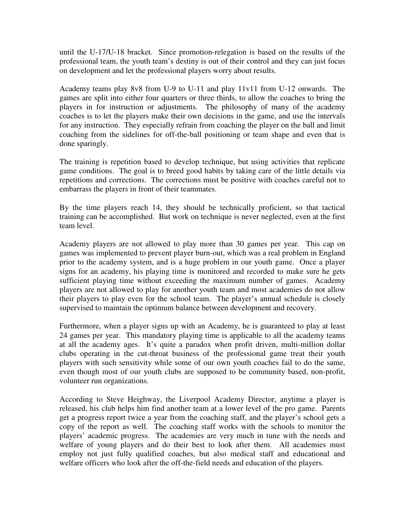until the U-17/U-18 bracket. Since promotion-relegation is based on the results of the professional team, the youth team's destiny is out of their control and they can just focus on development and let the professional players worry about results.

Academy teams play 8v8 from U-9 to U-11 and play 11v11 from U-12 onwards. The games are split into either four quarters or three thirds, to allow the coaches to bring the players in for instruction or adjustments. The philosophy of many of the academy coaches is to let the players make their own decisions in the game, and use the intervals for any instruction. They especially refrain from coaching the player on the ball and limit coaching from the sidelines for off-the-ball positioning or team shape and even that is done sparingly.

The training is repetition based to develop technique, but using activities that replicate game conditions. The goal is to breed good habits by taking care of the little details via repetitions and corrections. The corrections must be positive with coaches careful not to embarrass the players in front of their teammates.

By the time players reach 14, they should be technically proficient, so that tactical training can be accomplished. But work on technique is never neglected, even at the first team level.

Academy players are not allowed to play more than 30 games per year. This cap on games was implemented to prevent player burn-out, which was a real problem in England prior to the academy system, and is a huge problem in our youth game. Once a player signs for an academy, his playing time is monitored and recorded to make sure he gets sufficient playing time without exceeding the maximum number of games. Academy players are not allowed to play for another youth team and most academies do not allow their players to play even for the school team. The player's annual schedule is closely supervised to maintain the optimum balance between development and recovery.

Furthermore, when a player signs up with an Academy, he is guaranteed to play at least 24 games per year. This mandatory playing time is applicable to all the academy teams at all the academy ages. It's quite a paradox when profit driven, multi-million dollar clubs operating in the cut-throat business of the professional game treat their youth players with such sensitivity while some of our own youth coaches fail to do the same, even though most of our youth clubs are supposed to be community based, non-profit, volunteer run organizations.

According to Steve Heighway, the Liverpool Academy Director, anytime a player is released, his club helps him find another team at a lower level of the pro game. Parents get a progress report twice a year from the coaching staff, and the player's school gets a copy of the report as well. The coaching staff works with the schools to monitor the players' academic progress. The academies are very much in tune with the needs and welfare of young players and do their best to look after them. All academies must employ not just fully qualified coaches, but also medical staff and educational and welfare officers who look after the off-the-field needs and education of the players.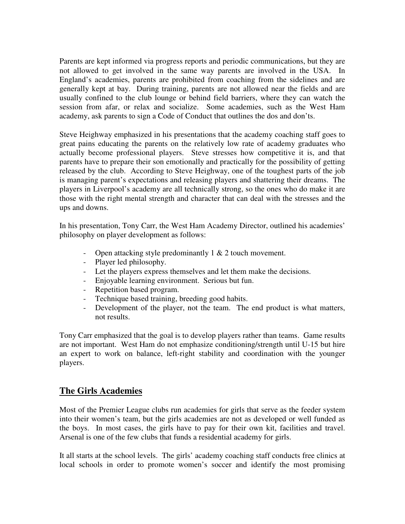Parents are kept informed via progress reports and periodic communications, but they are not allowed to get involved in the same way parents are involved in the USA. In England's academies, parents are prohibited from coaching from the sidelines and are generally kept at bay. During training, parents are not allowed near the fields and are usually confined to the club lounge or behind field barriers, where they can watch the session from afar, or relax and socialize. Some academies, such as the West Ham academy, ask parents to sign a Code of Conduct that outlines the dos and don'ts.

Steve Heighway emphasized in his presentations that the academy coaching staff goes to great pains educating the parents on the relatively low rate of academy graduates who actually become professional players. Steve stresses how competitive it is, and that parents have to prepare their son emotionally and practically for the possibility of getting released by the club. According to Steve Heighway, one of the toughest parts of the job is managing parent's expectations and releasing players and shattering their dreams. The players in Liverpool's academy are all technically strong, so the ones who do make it are those with the right mental strength and character that can deal with the stresses and the ups and downs.

In his presentation, Tony Carr, the West Ham Academy Director, outlined his academies' philosophy on player development as follows:

- Open attacking style predominantly 1 & 2 touch movement.
- Player led philosophy.
- Let the players express themselves and let them make the decisions.
- Enjoyable learning environment. Serious but fun.
- Repetition based program.
- Technique based training, breeding good habits.
- Development of the player, not the team. The end product is what matters, not results.

Tony Carr emphasized that the goal is to develop players rather than teams. Game results are not important. West Ham do not emphasize conditioning/strength until U-15 but hire an expert to work on balance, left-right stability and coordination with the younger players.

#### **The Girls Academies**

Most of the Premier League clubs run academies for girls that serve as the feeder system into their women's team, but the girls academies are not as developed or well funded as the boys. In most cases, the girls have to pay for their own kit, facilities and travel. Arsenal is one of the few clubs that funds a residential academy for girls.

It all starts at the school levels. The girls' academy coaching staff conducts free clinics at local schools in order to promote women's soccer and identify the most promising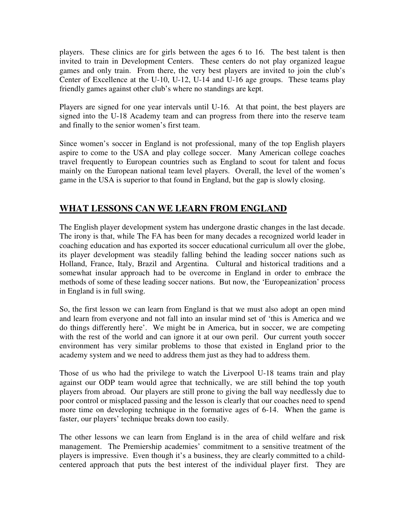players. These clinics are for girls between the ages 6 to 16. The best talent is then invited to train in Development Centers. These centers do not play organized league games and only train. From there, the very best players are invited to join the club's Center of Excellence at the U-10, U-12, U-14 and U-16 age groups. These teams play friendly games against other club's where no standings are kept.

Players are signed for one year intervals until U-16. At that point, the best players are signed into the U-18 Academy team and can progress from there into the reserve team and finally to the senior women's first team.

Since women's soccer in England is not professional, many of the top English players aspire to come to the USA and play college soccer. Many American college coaches travel frequently to European countries such as England to scout for talent and focus mainly on the European national team level players. Overall, the level of the women's game in the USA is superior to that found in England, but the gap is slowly closing.

# **WHAT LESSONS CAN WE LEARN FROM ENGLAND**

The English player development system has undergone drastic changes in the last decade. The irony is that, while The FA has been for many decades a recognized world leader in coaching education and has exported its soccer educational curriculum all over the globe, its player development was steadily falling behind the leading soccer nations such as Holland, France, Italy, Brazil and Argentina. Cultural and historical traditions and a somewhat insular approach had to be overcome in England in order to embrace the methods of some of these leading soccer nations. But now, the 'Europeanization' process in England is in full swing.

So, the first lesson we can learn from England is that we must also adopt an open mind and learn from everyone and not fall into an insular mind set of 'this is America and we do things differently here'. We might be in America, but in soccer, we are competing with the rest of the world and can ignore it at our own peril. Our current youth soccer environment has very similar problems to those that existed in England prior to the academy system and we need to address them just as they had to address them.

Those of us who had the privilege to watch the Liverpool U-18 teams train and play against our ODP team would agree that technically, we are still behind the top youth players from abroad. Our players are still prone to giving the ball way needlessly due to poor control or misplaced passing and the lesson is clearly that our coaches need to spend more time on developing technique in the formative ages of 6-14. When the game is faster, our players' technique breaks down too easily.

The other lessons we can learn from England is in the area of child welfare and risk management. The Premiership academies' commitment to a sensitive treatment of the players is impressive. Even though it's a business, they are clearly committed to a childcentered approach that puts the best interest of the individual player first. They are